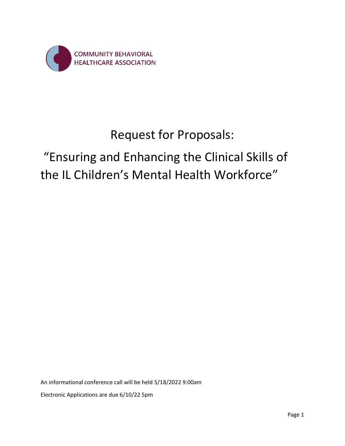

## Request for Proposals:

# "Ensuring and Enhancing the Clinical Skills of the IL Children's Mental Health Workforce"

An informational conference call will be held 5/18/2022 9:00am Electronic Applications are due 6/10/22 5pm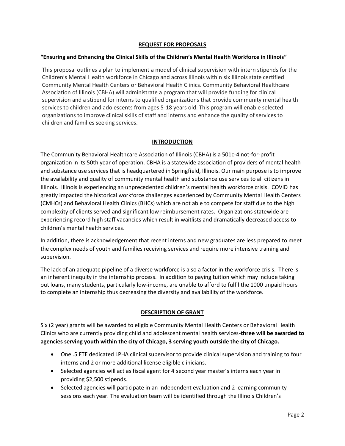## **REQUEST FOR PROPOSALS**

## **"Ensuring and Enhancing the Clinical Skills of the Children's Mental Health Workforce in Illinois"**

This proposal outlines a plan to implement a model of clinical supervision with intern stipends for the Children's Mental Health workforce in Chicago and across Illinois within six Illinois state certified Community Mental Health Centers or Behavioral Health Clinics. Community Behavioral Healthcare Association of Illinois (CBHA) will administrate a program that will provide funding for clinical supervision and a stipend for interns to qualified organizations that provide community mental health services to children and adolescents from ages 5-18 years old. This program will enable selected organizations to improve clinical skills of staff and interns and enhance the quality of services to children and families seeking services.

## **INTRODUCTION**

The Community Behavioral Healthcare Association of Illinois (CBHA) is a 501c-4 not-for-profit organization in its 50th year of operation. CBHA is a statewide association of providers of mental health and substance use services that is headquartered in Springfield, Illinois. Our main purpose is to improve the availability and quality of community mental health and substance use services to all citizens in Illinois. Illinois is experiencing an unprecedented children's mental health workforce crisis. COVID has greatly impacted the historical workforce challenges experienced by Community Mental Health Centers (CMHCs) and Behavioral Health Clinics (BHCs) which are not able to compete for staff due to the high complexity of clients served and significant low reimbursement rates. Organizations statewide are experiencing record high staff vacancies which result in waitlists and dramatically decreased access to children's mental health services.

In addition, there is acknowledgement that recent interns and new graduates are less prepared to meet the complex needs of youth and families receiving services and require more intensive training and supervision.

The lack of an adequate pipeline of a diverse workforce is also a factor in the workforce crisis. There is an inherent inequity in the internship process. In addition to paying tuition which may include taking out loans, many students, particularly low-income, are unable to afford to fulfil the 1000 unpaid hours to complete an internship thus decreasing the diversity and availability of the workforce.

## **DESCRIPTION OF GRANT**

Six (2 year) grants will be awarded to eligible Community Mental Health Centers or Behavioral Health Clinics who are currently providing child and adolescent mental health services-**three will be awarded to agencies serving youth within the city of Chicago, 3 serving youth outside the city of Chicago.** 

- One .5 FTE dedicated LPHA clinical supervisor to provide clinical supervision and training to four interns and 2 or more additional license eligible clinicians.
- Selected agencies will act as fiscal agent for 4 second year master's interns each year in providing \$2,500 stipends.
- Selected agencies will participate in an independent evaluation and 2 learning community sessions each year. The evaluation team will be identified through the Illinois Children's